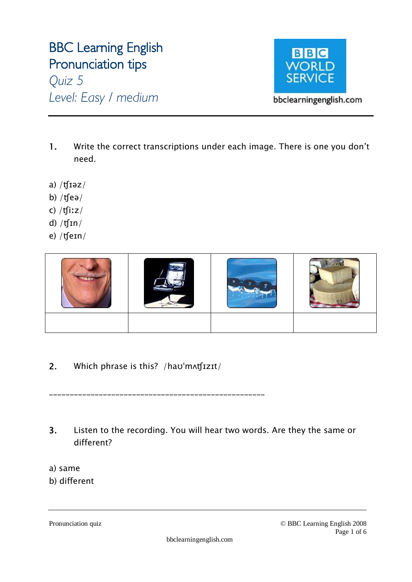# **BBC Learning English Pronunciation tips**  *Quiz 5*

*Level: Easy / medium*



- **1.** Write the correct transcriptions under each image. There is one you don't need.
- a)  $/f$ rəz $/$
- b)  $/$ tfeə $/$
- c) /ʧiːz/
- d)  $/f\sin/$
- e) /ʧeɪn/



**2.** Which phrase is this? /haʊˈmʌʧɪzɪt/

\_\_\_\_\_\_\_\_\_\_\_\_\_\_\_\_\_\_\_\_\_\_\_\_\_\_\_\_\_\_\_\_\_\_\_\_\_\_\_\_\_\_\_\_\_\_\_\_\_\_\_\_

- **3.** Listen to the recording. You will hear two words. Are they the same or different?
- a) same
- b) different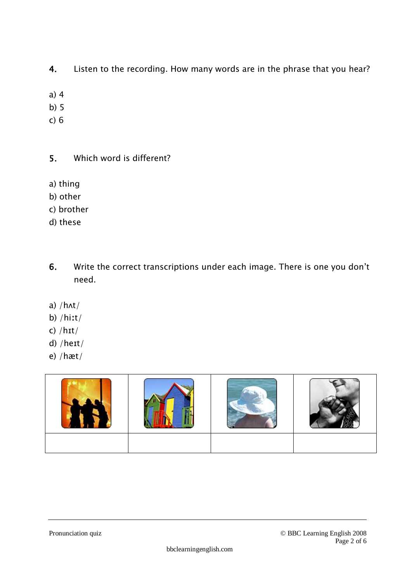- **4.** Listen to the recording. How many words are in the phrase that you hear?
- a) 4
- b) 5
- c) 6
- **5.** Which word is different?
- a) thing
- b) other
- c) brother
- d) these
- **6.** Write the correct transcriptions under each image. There is one you don't need.
- a)  $/h$  $\wedge$ t $/$
- b) /hiːt/
- c) /hɪt/
- d) /heɪt/
- e) /hæt/

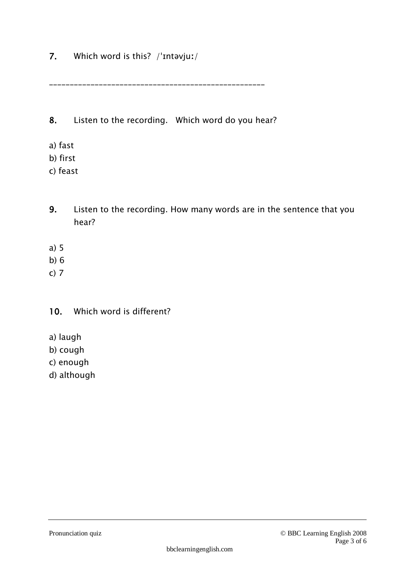**7.** Which word is this? /ˈɪntəvjuː/

\_\_\_\_\_\_\_\_\_\_\_\_\_\_\_\_\_\_\_\_\_\_\_\_\_\_\_\_\_\_\_\_\_\_\_\_\_\_\_\_\_\_\_\_\_\_\_\_\_\_\_\_

**8.** Listen to the recording. Which word do you hear?

- a) fast
- b) first
- c) feast
- **9.** Listen to the recording. How many words are in the sentence that you hear?
- a) 5
- b) 6
- c) 7

#### **10.** Which word is different?

- a) laugh
- b) cough
- c) enough
- d) although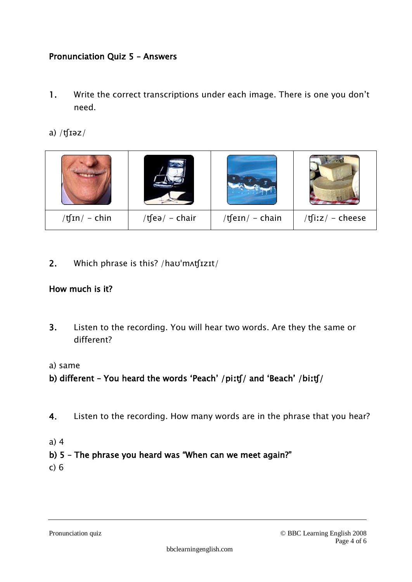#### **Pronunciation Quiz 5 – Answers**

- **1.** Write the correct transcriptions under each image. There is one you don't need.
- a) /ʧɪəz/



**2.** Which phrase is this? /haʊˈmʌʧɪzɪt/

#### **How much is it?**

**3.** Listen to the recording. You will hear two words. Are they the same or different?

#### a) same

#### **b) different – You heard the words 'Peach' /piːʧ/ and 'Beach' /biːʧ/**

- **4.** Listen to the recording. How many words are in the phrase that you hear?
- a) 4

#### **b) 5 – The phrase you heard was "When can we meet again?"**

c) 6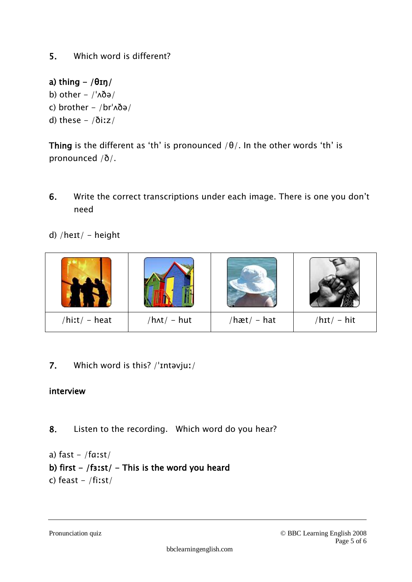## **a) thing - /θɪŋ/**  b) other  $-$  /' $\Delta\eth\partial$ c) brother  $-$  /br $\Delta\delta$ ə/ d) these  $-/\delta$ iːz/

**Thing** is the different as 'th' is pronounced  $/\theta$ . In the other words 'th' is pronounced /ð/.

- **6.** Write the correct transcriptions under each image. There is one you don't need
- d) / $heit/ height$



**7.** Which word is this? /ˈɪntəvjuː/

### **interview**

- **8.** Listen to the recording. Which word do you hear?
- a) fast  $-$  /faːst/ **b) first - /fɜːst/ - This is the word you heard**  c) feast  $-$  /fiːst/